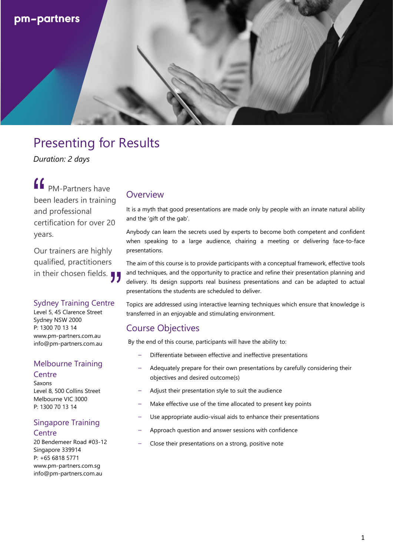

## Presenting for Results

*Duration: 2 days*

PM-Partners have been leaders in training and professional certification for over 20 years.  $\left| \begin{array}{c} \mathbf{c} \\ \mathbf{d} \\ \mathbf{d} \\ \mathbf{d} \end{array} \right|$ 

Our trainers are highly qualified, practitioners Our trainers are highly<br>qualified, practitioners<br>in their chosen fields. ¶

#### Sydney Training Centre

Level 5, 45 Clarence Street Sydney NSW 2000 P: 1300 70 13 14 www.pm-partners.com.au info@pm-partners.com.au

## Melbourne Training

#### **Centre**

Saxons Level 8, 500 Collins Street Melbourne VIC 3000 P: 1300 70 13 14

### Singapore Training

**Centre** 

20 Bendemeer Road #03-12 Singapore 339914 P: +65 6818 5771 www.pm-partners.com.sg info@pm-partners.com.au

### **Overview**

It is a myth that good presentations are made only by people with an innate natural ability and the 'gift of the gab'.

Anybody can learn the secrets used by experts to become both competent and confident when speaking to a large audience, chairing a meeting or delivering face-to-face presentations.

The aim of this course is to provide participants with a conceptual framework, effective tools and techniques, and the opportunity to practice and refine their presentation planning and delivery. Its design supports real business presentations and can be adapted to actual presentations the students are scheduled to deliver.

Topics are addressed using interactive learning techniques which ensure that knowledge is transferred in an enjoyable and stimulating environment.

### Course Objectives

By the end of this course, participants will have the ability to:

- Differentiate between effective and ineffective presentations
- Adequately prepare for their own presentations by carefully considering their objectives and desired outcome(s)
- Adjust their presentation style to suit the audience
- Make effective use of the time allocated to present key points
- Use appropriate audio-visual aids to enhance their presentations
- Approach question and answer sessions with confidence
- Close their presentations on a strong, positive note